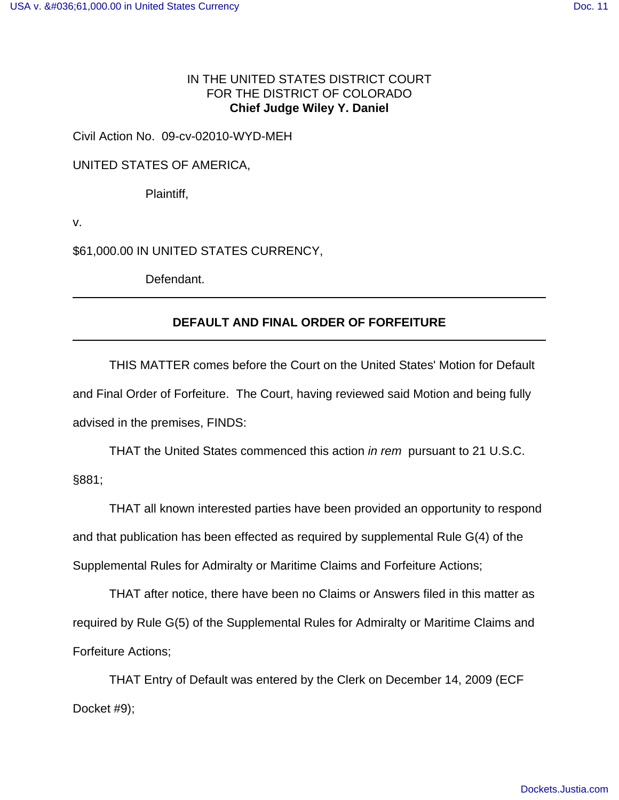## IN THE UNITED STATES DISTRICT COURT FOR THE DISTRICT OF COLORADO **Chief Judge Wiley Y. Daniel**

Civil Action No. 09-cv-02010-WYD-MEH

UNITED STATES OF AMERICA,

Plaintiff,

v.

\$61,000.00 IN UNITED STATES CURRENCY,

Defendant.

## **DEFAULT AND FINAL ORDER OF FORFEITURE**

THIS MATTER comes before the Court on the United States' Motion for Default and Final Order of Forfeiture. The Court, having reviewed said Motion and being fully advised in the premises, FINDS:

THAT the United States commenced this action in rem pursuant to 21 U.S.C. §881;

THAT all known interested parties have been provided an opportunity to respond and that publication has been effected as required by supplemental Rule G(4) of the Supplemental Rules for Admiralty or Maritime Claims and Forfeiture Actions;

THAT after notice, there have been no Claims or Answers filed in this matter as required by Rule G(5) of the Supplemental Rules for Admiralty or Maritime Claims and Forfeiture Actions;

THAT Entry of Default was entered by the Clerk on December 14, 2009 (ECF Docket #9);